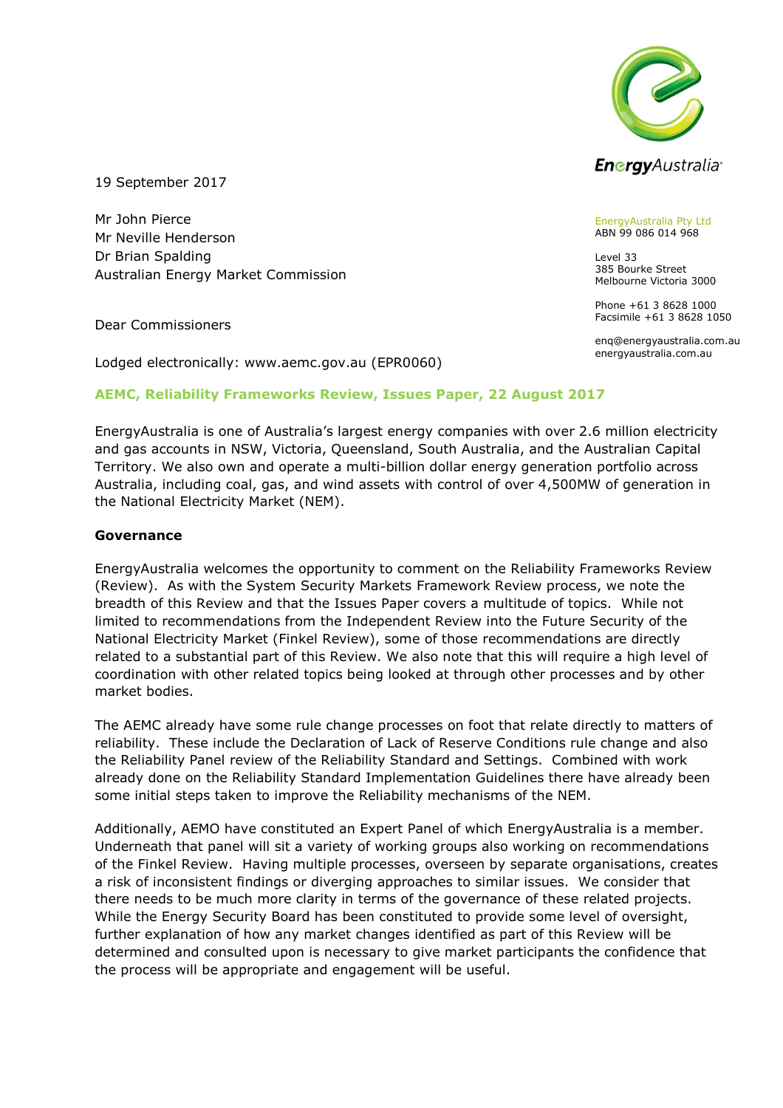

19 September 2017

Mr John Pierce Mr Neville Henderson Dr Brian Spalding Australian Energy Market Commission

Dear Commissioners

Lodged electronically: www.aemc.gov.au (EPR0060)

### AEMC, Reliability Frameworks Review, Issues Paper, 22 August 2017

EnergyAustralia is one of Australia's largest energy companies with over 2.6 million electricity and gas accounts in NSW, Victoria, Queensland, South Australia, and the Australian Capital Territory. We also own and operate a multi-billion dollar energy generation portfolio across Australia, including coal, gas, and wind assets with control of over 4,500MW of generation in the National Electricity Market (NEM).

#### Governance

EnergyAustralia welcomes the opportunity to comment on the Reliability Frameworks Review (Review). As with the System Security Markets Framework Review process, we note the breadth of this Review and that the Issues Paper covers a multitude of topics. While not limited to recommendations from the Independent Review into the Future Security of the National Electricity Market (Finkel Review), some of those recommendations are directly related to a substantial part of this Review. We also note that this will require a high level of coordination with other related topics being looked at through other processes and by other market bodies.

The AEMC already have some rule change processes on foot that relate directly to matters of reliability. These include the Declaration of Lack of Reserve Conditions rule change and also the Reliability Panel review of the Reliability Standard and Settings. Combined with work already done on the Reliability Standard Implementation Guidelines there have already been some initial steps taken to improve the Reliability mechanisms of the NEM.

Additionally, AEMO have constituted an Expert Panel of which EnergyAustralia is a member. Underneath that panel will sit a variety of working groups also working on recommendations of the Finkel Review. Having multiple processes, overseen by separate organisations, creates a risk of inconsistent findings or diverging approaches to similar issues. We consider that there needs to be much more clarity in terms of the governance of these related projects. While the Energy Security Board has been constituted to provide some level of oversight, further explanation of how any market changes identified as part of this Review will be determined and consulted upon is necessary to give market participants the confidence that the process will be appropriate and engagement will be useful.

EnergyAustralia Pty Ltd ABN 99 086 014 968

Level 33 385 Bourke Street Melbourne Victoria 3000

Phone +61 3 8628 1000 Facsimile +61 3 8628 1050

enq@energyaustralia.com.au energyaustralia.com.au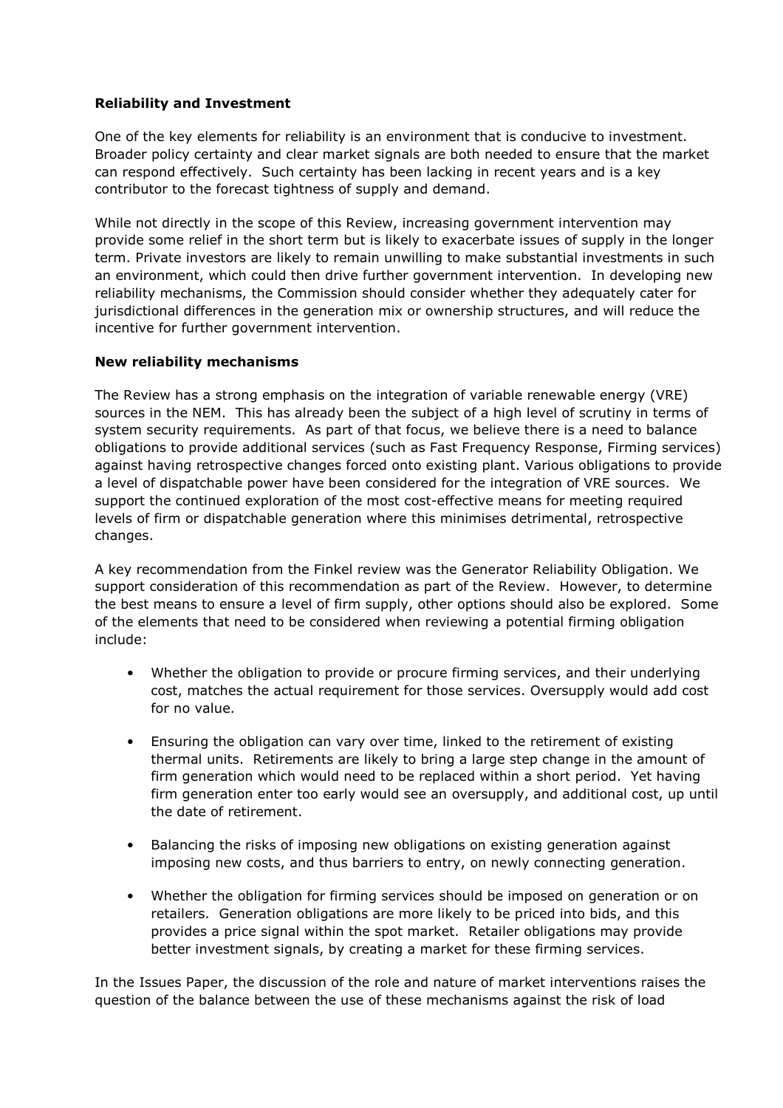## Reliability and Investment

One of the key elements for reliability is an environment that is conducive to investment. Broader policy certainty and clear market signals are both needed to ensure that the market can respond effectively. Such certainty has been lacking in recent years and is a key contributor to the forecast tightness of supply and demand.

While not directly in the scope of this Review, increasing government intervention may provide some relief in the short term but is likely to exacerbate issues of supply in the longer term. Private investors are likely to remain unwilling to make substantial investments in such an environment, which could then drive further government intervention. In developing new reliability mechanisms, the Commission should consider whether they adequately cater for jurisdictional differences in the generation mix or ownership structures, and will reduce the incentive for further government intervention.

### New reliability mechanisms

The Review has a strong emphasis on the integration of variable renewable energy (VRE) sources in the NEM. This has already been the subject of a high level of scrutiny in terms of system security requirements. As part of that focus, we believe there is a need to balance obligations to provide additional services (such as Fast Frequency Response, Firming services) against having retrospective changes forced onto existing plant. Various obligations to provide a level of dispatchable power have been considered for the integration of VRE sources. We support the continued exploration of the most cost-effective means for meeting required levels of firm or dispatchable generation where this minimises detrimental, retrospective changes.

A key recommendation from the Finkel review was the Generator Reliability Obligation. We support consideration of this recommendation as part of the Review. However, to determine the best means to ensure a level of firm supply, other options should also be explored. Some of the elements that need to be considered when reviewing a potential firming obligation include:

- Whether the obligation to provide or procure firming services, and their underlying cost, matches the actual requirement for those services. Oversupply would add cost for no value.
- Ensuring the obligation can vary over time, linked to the retirement of existing thermal units. Retirements are likely to bring a large step change in the amount of firm generation which would need to be replaced within a short period. Yet having firm generation enter too early would see an oversupply, and additional cost, up until the date of retirement.
- Balancing the risks of imposing new obligations on existing generation against imposing new costs, and thus barriers to entry, on newly connecting generation.
- Whether the obligation for firming services should be imposed on generation or on retailers. Generation obligations are more likely to be priced into bids, and this provides a price signal within the spot market. Retailer obligations may provide better investment signals, by creating a market for these firming services.

In the Issues Paper, the discussion of the role and nature of market interventions raises the question of the balance between the use of these mechanisms against the risk of load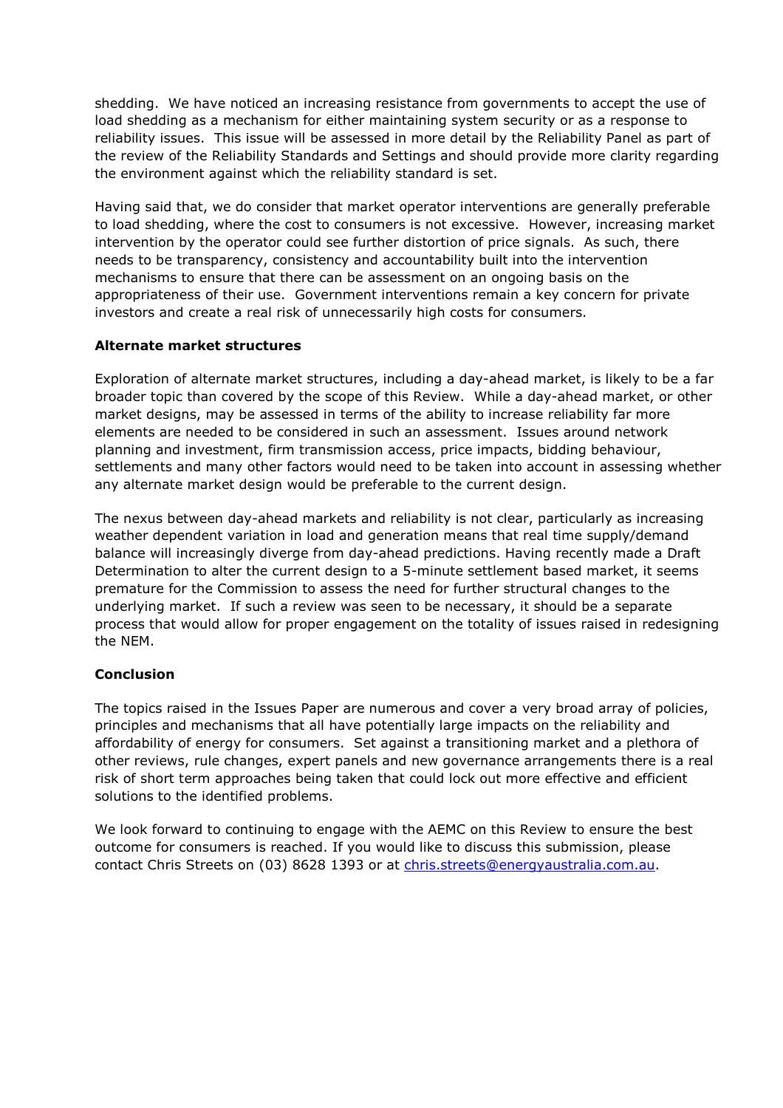shedding. We have noticed an increasing resistance from governments to accept the use of load shedding as a mechanism for either maintaining system security or as a response to reliability issues. This issue will be assessed in more detail by the Reliability Panel as part of the review of the Reliability Standards and Settings and should provide more clarity regarding the environment against which the reliability standard is set.

Having said that, we do consider that market operator interventions are generally preferable to load shedding, where the cost to consumers is not excessive. However, increasing market intervention by the operator could see further distortion of price signals. As such, there needs to be transparency, consistency and accountability built into the intervention mechanisms to ensure that there can be assessment on an ongoing basis on the appropriateness of their use. Government interventions remain a key concern for private investors and create a real risk of unnecessarily high costs for consumers.

## Alternate market structures

Exploration of alternate market structures, including a day-ahead market, is likely to be a far broader topic than covered by the scope of this Review. While a day-ahead market, or other market designs, may be assessed in terms of the ability to increase reliability far more elements are needed to be considered in such an assessment. Issues around network planning and investment, firm transmission access, price impacts, bidding behaviour, settlements and many other factors would need to be taken into account in assessing whether any alternate market design would be preferable to the current design.

The nexus between day-ahead markets and reliability is not clear, particularly as increasing weather dependent variation in load and generation means that real time supply/demand balance will increasingly diverge from day-ahead predictions. Having recently made a Draft Determination to alter the current design to a 5-minute settlement based market, it seems premature for the Commission to assess the need for further structural changes to the underlying market. If such a review was seen to be necessary, it should be a separate process that would allow for proper engagement on the totality of issues raised in redesigning the NEM.

## **Conclusion**

The topics raised in the Issues Paper are numerous and cover a very broad array of policies, principles and mechanisms that all have potentially large impacts on the reliability and affordability of energy for consumers. Set against a transitioning market and a plethora of other reviews, rule changes, expert panels and new governance arrangements there is a real risk of short term approaches being taken that could lock out more effective and efficient solutions to the identified problems.

We look forward to continuing to engage with the AEMC on this Review to ensure the best outcome for consumers is reached. If you would like to discuss this submission, please contact Chris Streets on (03) 8628 1393 or at chris.streets@energyaustralia.com.au.